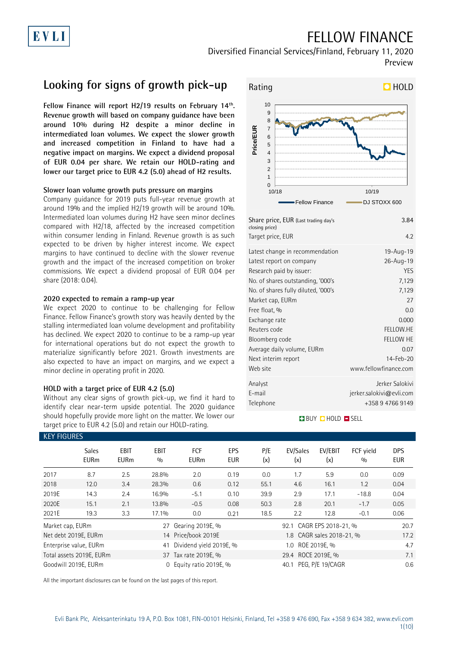## FELLOW FINANCE

Diversified Financial Services/Finland, February 11, 2020 Preview

## **Looking for signs of growth pick-up**

**Fellow Finance will report H2/19 results on February 14th . Revenue growth will based on company guidance have been around 10% during H2 despite a minor decline in intermediated loan volumes. We expect the slower growth and increased competition in Finland to have had a negative impact on margins. We expect a dividend proposal of EUR 0.04 per share. We retain our HOLD-rating and lower our target price to EUR 4.2 (5.0) ahead of H2 results.**

## **Slower loan volume growth puts pressure on margins**

Company guidance for 2019 puts full-year revenue growth at around 19% and the implied H2/19 growth will be around 10%. Intermediated loan volumes during H2 have seen minor declines compared with H2/18, affected by the increased competition within consumer lending in Finland. Revenue growth is as such expected to be driven by higher interest income. We expect margins to have continued to decline with the slower revenue growth and the impact of the increased competition on broker commissions. We expect a dividend proposal of EUR 0.04 per share (2018: 0.04).

### **2020 expected to remain a ramp-up year**

We expect 2020 to continue to be challenging for Fellow Finance. Fellow Finance's growth story was heavily dented by the stalling intermediated loan volume development and profitability has declined. We expect 2020 to continue to be a ramp-up year for international operations but do not expect the growth to materialize significantly before 2021. Growth investments are also expected to have an impact on margins, and we expect a minor decline in operating profit in 2020.

### **HOLD with a target price of EUR 4.2 (5.0)**

Without any clear signs of growth pick-up, we find it hard to identify clear near-term upside potential. The 2020 guidance should hopefully provide more light on the matter. We lower our target price to EUR 4.2 (5.0) and retain our HOLD-rating.



| Share price, EUR (Last trading day's<br>closing price)<br>Target price, EUR | 3.84<br>4.2              |
|-----------------------------------------------------------------------------|--------------------------|
| Latest change in recommendation                                             | 19-Aug-19                |
| Latest report on company                                                    | 26-Aug-19                |
| Research paid by issuer:                                                    | YES                      |
| No. of shares outstanding, '000's                                           | 7,129                    |
| No. of shares fully diluted, '000's                                         | 7,129                    |
| Market cap, EURm                                                            | 27                       |
| Free float, %                                                               | 0.0                      |
| Exchange rate                                                               | 0.000                    |
| Reuters code                                                                | FELLOW.HE                |
| Bloomberg code                                                              | <b>FELLOW HE</b>         |
| Average daily volume, EURm                                                  | 0.07                     |
| Next interim report                                                         | 14-Feb-20                |
| Web site                                                                    | www.fellowfinance.com    |
| Analyst                                                                     | Jerker Salokivi          |
| E-mail                                                                      | jerker.salokivi@evli.com |
| Telephone                                                                   | +358 9 4766 9149         |
|                                                                             |                          |

## **BUY QHOLD SELL**

| <b>KEY FIGURES</b> |                                            |                            |                    |                           |                          |                     |                           |                  |                  |                          |
|--------------------|--------------------------------------------|----------------------------|--------------------|---------------------------|--------------------------|---------------------|---------------------------|------------------|------------------|--------------------------|
|                    | <b>Sales</b><br><b>EURm</b>                | <b>EBIT</b><br><b>EURm</b> | <b>EBIT</b><br>0/0 | <b>FCF</b><br><b>EURm</b> | <b>EPS</b><br><b>EUR</b> | P/E<br>(x)          | EV/Sales<br>(x)           | EV/EBIT<br>(x)   | FCF yield<br>0/0 | <b>DPS</b><br><b>EUR</b> |
| 2017               | 8.7                                        | 2.5                        | 28.8%              | 2.0                       | 0.19                     | 0.0                 | 1.7                       | 5.9              | 0.0              | 0.09                     |
| 2018               | 12.0                                       | 3.4                        | 28.3%              | 0.6                       | 0.12                     | 55.1                | 4.6                       | 16.1             | 1.2              | 0.04                     |
| 2019E              | 14.3                                       | 2.4                        | 16.9%              | $-5.1$                    | 0.10                     | 39.9                | 2.9                       | 17.1             | $-18.8$          | 0.04                     |
| 2020E              | 15.1                                       | 2.1                        | 13.8%              | $-0.5$                    | 0.08                     | 50.3                | 2.8                       | 20.1             | $-1.7$           | 0.05                     |
| 2021E              | 19.3                                       | 3.3                        | 17.1%              | 0.0                       | 0.21                     | 18.5                | 2.2                       | 12.8             | $-0.1$           | 0.06                     |
|                    | Gearing 2019E, %<br>Market cap, EURm<br>27 |                            |                    |                           | 92.1                     | CAGR EPS 2018-21, % |                           | 20.7             |                  |                          |
|                    | Net debt 2019E, EURm                       |                            |                    | 14 Price/book 2019E       |                          |                     | 1.8 CAGR sales 2018-21, % |                  |                  |                          |
|                    | Enterprise value, EURm                     |                            | 41                 | Dividend yield 2019E, %   | 1.0 ROE 2019E, %         |                     |                           |                  | 4.7              |                          |
|                    | Total assets 2019E, EURm                   |                            |                    | 37 Tax rate 2019E, %      |                          |                     | 29.4 ROCE 2019E, %        |                  |                  | 7.1                      |
|                    | Goodwill 2019E, EURm                       |                            | 0                  | Equity ratio 2019E, %     |                          |                     | 40.1                      | PEG. P/E 19/CAGR |                  | 0.6                      |

All the important disclosures can be found on the last pages of this report.

### Evli Bank Plc, Aleksanterinkatu 19 A, P.O. Box 1081, FIN-00101 Helsinki, Finland, Tel +358 9 476 690, Fax +358 9 634 382, [www.evli.com](http://www.evli.com/) 1(10)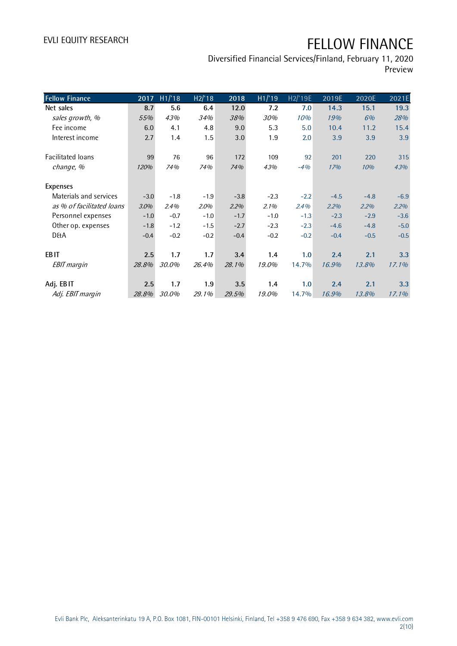Diversified Financial Services/Finland, February 11, 2020 Preview

| <b>Fellow Finance</b>     | 2017   | H1/18  | H2/18   | 2018   | $\overline{H1/19}$ | H2/'19E | 2019E  | 2020E  | 2021E    |
|---------------------------|--------|--------|---------|--------|--------------------|---------|--------|--------|----------|
| Net sales                 | 8.7    | 5.6    | 6.4     | 12.0   | 7.2                | 7.0     | 14.3   | 15.1   | 19.3     |
| sales growth, %           | 55%    | 43%    | 34%     | 38%    | 30%                | 10%     | 19%    | 6%     | 28%      |
| Fee income                | 6.0    | 4.1    | 4.8     | 9.0    | 5.3                | 5.0     | 10.4   | 11.2   | 15.4     |
| Interest income           | 2.7    | 1.4    | 1.5     | 3.0    | 1.9                | 2.0     | 3.9    | 3.9    | 3.9      |
| Facilitated loans         | 99     | 76     | 96      | 172    | 109                | 92      | 201    | 220    | 315      |
| change, %                 | 120%   | 74%    | 74%     | 74%    | 43%                | $-4%$   | 17%    | 10%    | 43%      |
| <b>Expenses</b>           |        |        |         |        |                    |         |        |        |          |
| Materials and services    | $-3.0$ | $-1.8$ | $-1.9$  | $-3.8$ | $-2.3$             | $-2.2$  | $-4.5$ | $-4.8$ | $-6.9$   |
| as % of facilitated loans | 3.0%   | 2.4%   | $2.0\%$ | 2.2%   | 2.1%               | 2.4%    | 2.2%   | 2.2%   | 2.2%     |
| Personnel expenses        | $-1.0$ | $-0.7$ | $-1.0$  | $-1.7$ | $-1.0$             | $-1.3$  | $-2.3$ | $-2.9$ | $-3.6$   |
| Other op. expenses        | $-1.8$ | $-1.2$ | $-1.5$  | $-2.7$ | $-2.3$             | $-2.3$  | $-4.6$ | $-4.8$ | $-5.0$   |
| <b>D&amp;A</b>            | $-0.4$ | $-0.2$ | $-0.2$  | $-0.4$ | $-0.2$             | $-0.2$  | $-0.4$ | $-0.5$ | $-0.5$   |
| EB <sub>IT</sub>          | 2.5    | 1.7    | 1.7     | 3.4    | 1.4                | 1.0     | 2.4    | 2.1    | 3.3      |
| <b>EBIT</b> margin        | 28.8%  | 30.0%  | 26.4%   | 28.1%  | 19.0%              | 14.7%   | 16.9%  | 13.8%  | $17.1\%$ |
| Adj. EBIT                 | 2.5    | 1.7    | 1.9     | 3.5    | 1.4                | 1.0     | 2.4    | 2.1    | 3.3      |
| Adj. EBIT margin          | 28.8%  | 30.0%  | 29.1%   | 29.5%  | 19.0%              | 14.7%   | 16.9%  | 13.8%  | 17.1%    |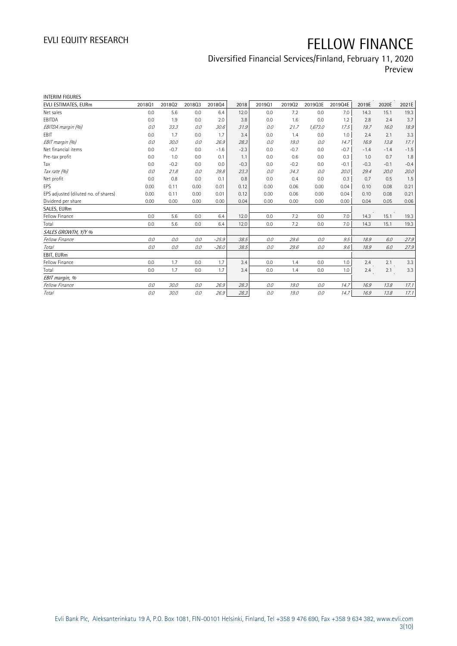## Diversified Financial Services/Finland, February 11, 2020 Preview

| <b>INTERIM FIGURES</b>               |        |        |        |         |        |        |        |         |         |        |        |        |
|--------------------------------------|--------|--------|--------|---------|--------|--------|--------|---------|---------|--------|--------|--------|
| EVLI ESTIMATES, EURm                 | 201801 | 201802 | 201803 | 201804  | 2018   | 201901 | 201902 | 2019Q3E | 2019Q4E | 2019E  | 2020E  | 2021E  |
| Net sales                            | 0.0    | 5.6    | 0.0    | 6.4     | 12.0   | 0.0    | 7.2    | 0.0     | 7.0     | 14.3   | 15.1   | 19.3   |
| EBITDA                               | 0.0    | 1.9    | 0.0    | 2.0     | 3.8    | 0.0    | 1.6    | 0.0     | 1.2     | 2.8    | 2.4    | 3.7    |
| EBITDA margin (%)                    | 0.0    | 33.3   | 0.0    | 30.6    | 31.9   | 0.0    | 21.7   | 1,673.0 | 17.5    | 19.7   | 16.0   | 18.9   |
| <b>FBIT</b>                          | 0.0    | 1.7    | 0.0    | 1.7     | 3.4    | 0.0    | 1.4    | 0.0     | 1.0     | 2.4    | 2.1    | 3.3    |
| EBIT margin (%)                      | 0.0    | 30.0   | 0.0    | 26.9    | 28.3   | 0.0    | 19.0   | 0.0     | 14.7    | 16.9   | 13.8   | 17.1   |
| Net financial items                  | 0.0    | $-0.7$ | 0.0    | $-1.6$  | $-2.3$ | 0.0    | $-0.7$ | 0.0     | $-0.7$  | $-1.4$ | $-1.4$ | $-1.5$ |
| Pre-tax profit                       | 0.0    | 1.0    | 0.0    | 0.1     | 1.1    | 0.0    | 0.6    | 0.0     | 0.3     | 1.0    | 0.7    | 1.8    |
| Tax                                  | 0.0    | $-0.2$ | 0.0    | 0.0     | $-0.3$ | 0.0    | $-0.2$ | 0.0     | $-0.1$  | $-0.3$ | $-0.1$ | $-0.4$ |
| Tax rate (%)                         | 0.0    | 21.8   | 0.0    | 39.8    | 23.3   | 0.0    | 34.3   | 0.0     | 20.0    | 29.4   | 20.0   | 20.0   |
| Net profit                           | 0.0    | 0.8    | 0.0    | 0.1     | 0.8    | 0.0    | 0.4    | 0.0     | 0.3     | 0.7    | 0.5    | 1.5    |
| <b>EPS</b>                           | 0.00   | 0.11   | 0.00   | 0.01    | 0.12   | 0.00   | 0.06   | 0.00    | 0.04    | 0.10   | 0.08   | 0.21   |
| EPS adjusted (diluted no. of shares) | 0.00   | 0.11   | 0.00   | 0.01    | 0.12   | 0.00   | 0.06   | 0.00    | 0.04    | 0.10   | 0.08   | 0.21   |
| Dividend per share                   | 0.00   | 0.00   | 0.00   | 0.00    | 0.04   | 0.00   | 0.00   | 0.00    | 0.00    | 0.04   | 0.05   | 0.06   |
| SALES, EURm                          |        |        |        |         |        |        |        |         |         |        |        |        |
| Fellow Finance                       | 0.0    | 5.6    | 0.0    | 6.4     | 12.0   | 0.0    | 7.2    | 0.0     | 7.0     | 14.3   | 15.1   | 19.3   |
| Total                                | 0.0    | 5.6    | 0.0    | 6.4     | 12.0   | 0.0    | 7.2    | 0.0     | 7.0     | 14.3   | 15.1   | 19.3   |
| SALES GROWTH, Y/Y %                  |        |        |        |         |        |        |        |         |         |        |        |        |
| Fellow Finance                       | 0.0    | 0.0    | 0.0    | $-25.9$ | 38.5   | 0.0    | 29.6   | 0.0     | 9.5     | 18.9   | 6.0    | 27.9   |
| Total                                | 0.0    | 0.0    | 0.0    | $-26.0$ | 38.5   | 0.0    | 29.6   | 0.0     | 9.6     | 18.9   | 6.0    | 27.9   |
| EBIT, EURm                           |        |        |        |         |        |        |        |         |         |        |        |        |
| Fellow Finance                       | 0.0    | 1.7    | 0.0    | 1.7     | 3.4    | 0.0    | 1.4    | 0.0     | 1.0     | 2.4    | 2.1    | 3.3    |
| Total                                | 0.0    | 1.7    | 0.0    | 1.7     | 3.4    | 0.0    | 1.4    | 0.0     | 1.0     | 2.4    | 2.1    | 3.3    |
| EBIT margin, %                       |        |        |        |         |        |        |        |         |         |        |        |        |
| Fellow Finance                       | 0.0    | 30.0   | 0.0    | 26.9    | 28.3   | 0.0    | 19.0   | 0.0     | 14.7    | 16.9   | 13.8   | 17.1   |
| Total                                | 0.0    | 30.0   | 0.0    | 26.9    | 28.3   | 0.0    | 19.0   | 0.0     | 14.7    | 16.9   | 13.8   | 17.1   |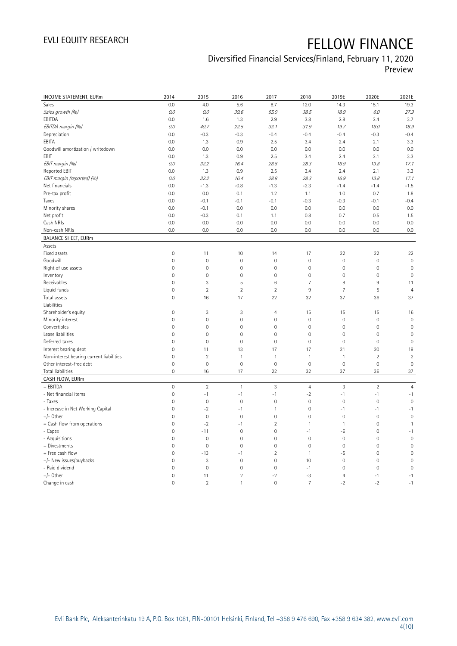## Diversified Financial Services/Finland, February 11, 2020

Preview

| <b>INCOME STATEMENT, EURm</b>            | 2014                | 2015           | 2016           | 2017                | 2018            | 2019E          | 2020E          | 2021E               |
|------------------------------------------|---------------------|----------------|----------------|---------------------|-----------------|----------------|----------------|---------------------|
| Sales                                    | 0.0                 | 4.0            | 5.6            | 8.7                 | 12.0            | 14.3           | 15.1           | 19.3                |
| Sales growth (%)                         | 0.0                 | 0.0            | 39.6           | 55.0                | 38.5            | 18.9           | 6.0            | 27.9                |
| EBITDA                                   | 0.0                 | 1.6            | 1.3            | 2.9                 | 3.8             | 2.8            | 2.4            | 3.7                 |
| EBITDA margin (%)                        | 0.0                 | 40.7           | 22.5           | 33.1                | 31.9            | 19.7           | 16.0           | 18.9                |
| Depreciation                             | 0.0                 | $-0.3$         | $-0.3$         | $-0.4$              | $-0.4$          | $-0.4$         | $-0.3$         | $-0.4$              |
| EBITA                                    | 0.0                 | 1.3            | 0.9            | 2.5                 | 3.4             | 2.4            | 2.1            | 3.3                 |
| Goodwill amortization / writedown        | 0.0                 | 0.0            | 0.0            | 0.0                 | 0.0             | 0.0            | 0.0            | 0.0                 |
| EBIT                                     | 0.0                 | 1.3            | 0.9            | 2.5                 | 3.4             | 2.4            | 2.1            | 3.3                 |
| EBIT margin (%)                          | 0.0                 | 32.2           | 16.4           | 28.8                | 28.3            | 16.9           | 13.8           | 17.1                |
| Reported EBIT                            | 0.0                 | 1.3            | 0.9            | 2.5                 | 3.4             | 2.4            | 2.1            | 3.3                 |
| EBIT margin (reported) (%)               | 0.0                 | 32.2           | 16.4           | 28.8                | 28.3            | 16.9           | 13.8           | 17.1                |
| Net financials                           | 0.0                 | $-1.3$         | $-0.8$         | $-1.3$              | $-2.3$          | $-1.4$         | $-1.4$         | $-1.5$              |
| Pre-tax profit                           | 0.0                 | 0.0            | 0.1            | 1.2                 | 1.1             | 1.0            | 0.7            | 1.8                 |
| Taxes                                    | 0.0                 | $-0.1$         | $-0.1$         | $-0.1$              | $-0.3$          | $-0.3$         | $-0.1$         | $-0.4$              |
| Minority shares                          | 0.0                 | $-0.1$         | 0.0            | 0.0                 | 0.0             | 0.0            | 0.0            | 0.0                 |
| Net profit                               | 0.0                 | $-0.3$         | 0.1            | 1.1                 | 0.8             | 0.7            | 0.5            | 1.5                 |
| Cash NRIs                                | 0.0                 | 0.0            | 0.0            | 0.0                 | 0.0             | 0.0            | 0.0            | 0.0                 |
| Non-cash NRIs                            | 0.0                 | 0.0            | 0.0            | 0.0                 | 0.0             | 0.0            | 0.0            | 0.0                 |
| <b>BALANCE SHEET, EURm</b>               |                     |                |                |                     |                 |                |                |                     |
| Assets                                   |                     |                |                |                     |                 |                |                |                     |
| Fixed assets                             | $\mathbf 0$         | 11             | 10             | 14                  | 17              | 22             | 22             | 22                  |
| Goodwill                                 | $\mathsf{O}\xspace$ | $\overline{0}$ | $\overline{0}$ | $\mathsf{O}\xspace$ | $\overline{0}$  | $\mathbb O$    | $\overline{0}$ | $\overline{0}$      |
| Right of use assets                      | $\mathbf 0$         | $\mathbf 0$    | $\mathbf 0$    | $\mathsf{O}\xspace$ | $\mathbf 0$     | $\mathbf 0$    | $\mathbf 0$    | $\mathbf 0$         |
| Inventory                                | $\mathbf 0$         | $\mathbf 0$    | $\overline{0}$ | $\mathbf 0$         | $\mathbf 0$     | $\mathbf{0}$   | $\mathbf 0$    | $\mathbf 0$         |
| Receivables                              | $\mathbf{0}$        | 3              | 5              | 6                   | $\overline{7}$  | 8              | 9              | 11                  |
| Liquid funds                             | $\mathbf 0$         | $\overline{2}$ | $\overline{2}$ | $\overline{2}$      | $9\,$           | $\overline{7}$ | 5              | $\overline{4}$      |
| Total assets                             | $\mathbb O$         | 16             | 17             | 22                  | 32              | 37             | 36             | 37                  |
| Liabilities                              |                     |                |                |                     |                 |                |                |                     |
| Shareholder's equity                     | $\mathbf 0$         | 3              | 3              | $\overline{4}$      | 15              | 15             | 15             | 16                  |
| Minority interest                        | $\mathbf 0$         | $\mathbf 0$    | $\mathbf 0$    | $\mathsf{O}\xspace$ | $\mathbf 0$     | $\mathbf 0$    | $\mathbf 0$    | $\mathbf 0$         |
| Convertibles                             | $\mathbf{0}$        | $\mathbf 0$    | $\mathbf 0$    | $\mathsf{O}\xspace$ | $\mathbf 0$     | $\mathbf 0$    | $\mathbf 0$    | $\mathbf 0$         |
| Lease liabilities                        | $\mathbf 0$         | $\mathbf 0$    | $\mathbf 0$    | $\mathsf{O}\xspace$ | $\mathbf 0$     | $\mathbf 0$    | $\mathbf 0$    | $\mathbf 0$         |
| Deferred taxes                           | $\mathsf{O}\xspace$ | $\mathbf 0$    | $\mathbf 0$    | $\mathsf{O}\xspace$ | $\mathbf 0$     | $\mathbb O$    | $\mathbf 0$    | $\mathsf{O}\xspace$ |
| Interest bearing debt                    | $\mathbf 0$         | 11             | 13             | 17                  | 17              | 21             | 20             | 19                  |
| Non-interest bearing current liabilities | $\mathbf 0$         | $\overline{2}$ | $\mathbf{1}$   | $\mathbf{1}$        | $\mathbf{1}$    | $\mathbf{1}$   | $\overline{2}$ | $\overline{2}$      |
| Other interest-free debt                 | $\mathbf 0$         | $\mathbf 0$    | $\mathbf 0$    | $\mathsf{O}\xspace$ | $\mathbf 0$     | $\mathbf 0$    | $\mathbf{0}$   | $\mathbf 0$         |
| Total liabilities                        | $\mathbf 0$         | 16             | 17             | 22                  | 32              | 37             | 36             | 37                  |
| CASH FLOW, EURm                          |                     |                |                |                     |                 |                |                |                     |
| + EBITDA                                 | $\mathbf 0$         | $\overline{2}$ | $\mathbf{1}$   | $\overline{3}$      | $\overline{4}$  | $\overline{3}$ | $\overline{2}$ | $\overline{4}$      |
| - Net financial items                    | $\mathbb O$         | $-1$           | $-1$           | $-1$                | $-2$            | $-1$           | $-1$           | $-1$                |
| - Taxes                                  | $\mathbf 0$         | $\mathbf 0$    | $\mathbf 0$    | $\mathsf{O}\xspace$ | $\mathbf 0$     | $\mathbf 0$    | $\mathbf 0$    | $\mathbf 0$         |
| - Increase in Net Working Capital        | $\mathbf 0$         | $-2$           | $-1$           | $\mathbf{1}$        | $\mathbf 0$     | $-1$           | $-1$           | $-1$                |
| +/- Other                                | $\mathbf{0}$        | $\mathbf{0}$   | $\overline{0}$ | $\mathbf 0$         | $\overline{0}$  | $\mathbf 0$    | $\mathbf{0}$   | $\overline{0}$      |
| = Cash flow from operations              | $\mathbf 0$         | $-2$           | $-1$           | $\overline{2}$      | $\mathbf{1}$    | $\mathbf{1}$   | $\mathbf 0$    | $\mathbf{1}$        |
| - Capex                                  | $\mathbf 0$         | $-11$          | $\mathbf 0$    | $\mathsf{O}\xspace$ | $-1$            | $-6$           | $\mathbf 0$    | $-1$                |
| - Acquisitions                           | $\mathbf 0$         | $\mathbf 0$    | $\mathbf 0$    | $\mathsf{O}\xspace$ | $\mathbf 0$     | $\mathbf 0$    | $\mathbf 0$    | $\mathbf 0$         |
| + Divestments                            | $\mathbb O$         | $\mathbf 0$    | $\mathbf 0$    | $\mathbb O$         | $\mathbf 0$     | $\mathbb O$    | $\mathbf 0$    | $\mathbf 0$         |
| = Free cash flow                         | $\mathbf 0$         | $-13$          | $-1$           | $\overline{2}$      | $\mathbf{1}$    | $-5$           | $\mathbf 0$    | $\mathbf 0$         |
| +/- New issues/buybacks                  | $\mathbf 0$         | 3              | $\mathbf 0$    | $\mathsf{O}\xspace$ | 10              | $\mathbf 0$    | $\mathbf 0$    | $\mathbf 0$         |
| - Paid dividend                          | $\mathbf 0$         | $\mathbf{0}$   | $\overline{0}$ | $\mathbf 0$         | $-1$            | $\mathbf{0}$   | $\mathbf 0$    | $\mathbf 0$         |
| $+/-$ Other                              | $\mathbf 0$         | 11             | $\overline{2}$ | $-2$                | $-3$            | $\overline{4}$ | $-1$           | $-1$                |
| Change in cash                           | $\Omega$            | $\overline{2}$ | $\mathbf{1}$   | $\Omega$            | $7\overline{ }$ | $-2$           | $-2$           | $-1$                |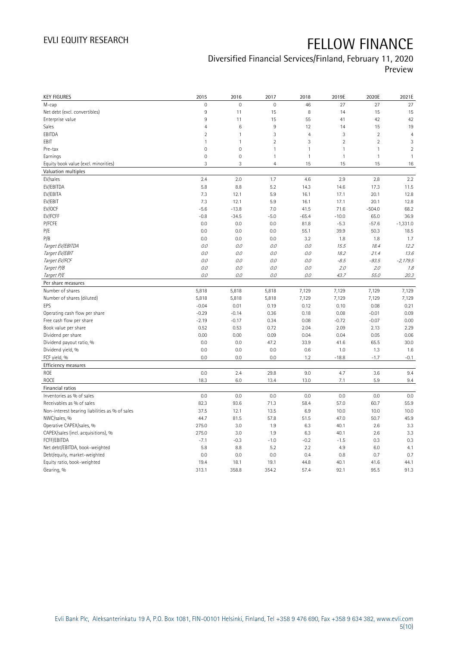## Diversified Financial Services/Finland, February 11, 2020 Preview

| $\mathsf{O}\xspace$<br>$\overline{0}$<br>$\mathbf{0}$<br>46<br>27<br>27<br>M-cap<br>Net debt (excl. convertibles)<br>9<br>15<br>8<br>11<br>14<br>15<br>Enterprise value<br>9<br>15<br>55<br>42<br>11<br>41<br>$6\phantom{1}6$<br>$\,9$<br>12<br>15<br>Sales<br>4<br>14<br>3<br>$\overline{2}$<br>EBITDA<br>$\overline{2}$<br>$\mathbf{1}$<br>$\overline{4}$<br>3<br>$\overline{2}$<br>3<br>$\overline{2}$<br>$\overline{2}$<br>$\mathbf{1}$<br>EBIT<br>$\mathbf{1}$<br>$\mathbf 0$<br>$\mathbf 0$<br>$\mathbf{1}$<br>$\mathbf{1}$<br>Pre-tax<br>$\mathbf{1}$<br>$\mathbf{1}$<br>Earnings<br>$\mathbf 0$<br>$\mathbf 0$<br>$\mathbf{1}$<br>$\mathbf{1}$<br>$\mathbf{1}$<br>$\mathbf{1}$<br>Equity book value (excl. minorities)<br>3<br>3<br>$\overline{4}$<br>15<br>15<br>15<br>Valuation multiples<br>2.4<br>EV/sales<br>2.0<br>1.7<br>4.6<br>2.9<br>2.8<br>EV/EBITDA<br>5.8<br>8.8<br>5.2<br>14.3<br>11.5<br>14.6<br>17.3<br>EV/EBITA<br>7.3<br>5.9<br>12.8<br>12.1<br>16.1<br>17.1<br>20.1<br>EV/EBIT<br>7.3<br>12.1<br>5.9<br>16.1<br>17.1<br>20.1<br>12.8<br>EV/OCF<br>$-5.6$<br>$-13.8$<br>7.0<br>41.5<br>71.6<br>$-504.0$<br>68.2<br>EV/FCFF<br>$-5.0$<br>$-10.0$<br>36.9<br>$-0.8$<br>$-34.5$<br>$-65.4$<br>65.0<br>P/FCFE<br>0.0<br>0.0<br>0.0<br>81.8<br>$-5.3$<br>$-57.6$<br>$-1,331.0$<br>P/E<br>39.9<br>0.0<br>0.0<br>0.0<br>55.1<br>50.3<br>18.5<br>P/B<br>0.0<br>0.0<br>0.0<br>3.2<br>1.8<br>1.8<br>Target EV/EBITDA<br>0.0<br>0.0<br>0.0<br>15.5<br>18.4<br>0.0<br>Target EV/EBIT<br>0.0<br>0.0<br>0.0<br>0.0<br>18.2<br>21.4<br>Target EV/FCF<br>0.0<br>0.0<br>0.0<br>$0.0\,$<br>$-8.5$<br>$-93.5$<br>$-2,179.5$<br>Target P/B<br>$0.0$<br>0.0<br>0.0<br>$0.0\,$<br>2.0<br>2.0<br>Target P/E<br>0.0<br>0.0<br>0.0<br>0.0<br>43.7<br>55.0<br>Per share measures<br>Number of shares<br>5,818<br>5,818<br>5,818<br>7,129<br>7,129<br>7,129<br>7,129<br>Number of shares (diluted)<br>7,129<br>5,818<br>5,818<br>5,818<br>7,129<br>7,129<br>7,129<br>0.01<br>0.21<br>EPS<br>$-0.04$<br>0.19<br>0.12<br>0.10<br>0.08<br>0.09<br>Operating cash flow per share<br>$-0.29$<br>$-0.14$<br>0.36<br>0.18<br>0.08<br>$-0.01$<br>Free cash flow per share<br>$-2.19$<br>$-0.17$<br>0.34<br>0.08<br>$-0.72$<br>$-0.07$<br>0.00<br>Book value per share<br>0.53<br>2.04<br>2.29<br>0.52<br>0.72<br>2.09<br>2.13 |
|---------------------------------------------------------------------------------------------------------------------------------------------------------------------------------------------------------------------------------------------------------------------------------------------------------------------------------------------------------------------------------------------------------------------------------------------------------------------------------------------------------------------------------------------------------------------------------------------------------------------------------------------------------------------------------------------------------------------------------------------------------------------------------------------------------------------------------------------------------------------------------------------------------------------------------------------------------------------------------------------------------------------------------------------------------------------------------------------------------------------------------------------------------------------------------------------------------------------------------------------------------------------------------------------------------------------------------------------------------------------------------------------------------------------------------------------------------------------------------------------------------------------------------------------------------------------------------------------------------------------------------------------------------------------------------------------------------------------------------------------------------------------------------------------------------------------------------------------------------------------------------------------------------------------------------------------------------------------------------------------------------------------------------------------------------------------------------------------------------------------------------------------------------------------------------------------------------------------------------------------------------------------------------------------------------------------|
|                                                                                                                                                                                                                                                                                                                                                                                                                                                                                                                                                                                                                                                                                                                                                                                                                                                                                                                                                                                                                                                                                                                                                                                                                                                                                                                                                                                                                                                                                                                                                                                                                                                                                                                                                                                                                                                                                                                                                                                                                                                                                                                                                                                                                                                                                                                     |
|                                                                                                                                                                                                                                                                                                                                                                                                                                                                                                                                                                                                                                                                                                                                                                                                                                                                                                                                                                                                                                                                                                                                                                                                                                                                                                                                                                                                                                                                                                                                                                                                                                                                                                                                                                                                                                                                                                                                                                                                                                                                                                                                                                                                                                                                                                                     |
|                                                                                                                                                                                                                                                                                                                                                                                                                                                                                                                                                                                                                                                                                                                                                                                                                                                                                                                                                                                                                                                                                                                                                                                                                                                                                                                                                                                                                                                                                                                                                                                                                                                                                                                                                                                                                                                                                                                                                                                                                                                                                                                                                                                                                                                                                                                     |
|                                                                                                                                                                                                                                                                                                                                                                                                                                                                                                                                                                                                                                                                                                                                                                                                                                                                                                                                                                                                                                                                                                                                                                                                                                                                                                                                                                                                                                                                                                                                                                                                                                                                                                                                                                                                                                                                                                                                                                                                                                                                                                                                                                                                                                                                                                                     |
|                                                                                                                                                                                                                                                                                                                                                                                                                                                                                                                                                                                                                                                                                                                                                                                                                                                                                                                                                                                                                                                                                                                                                                                                                                                                                                                                                                                                                                                                                                                                                                                                                                                                                                                                                                                                                                                                                                                                                                                                                                                                                                                                                                                                                                                                                                                     |
|                                                                                                                                                                                                                                                                                                                                                                                                                                                                                                                                                                                                                                                                                                                                                                                                                                                                                                                                                                                                                                                                                                                                                                                                                                                                                                                                                                                                                                                                                                                                                                                                                                                                                                                                                                                                                                                                                                                                                                                                                                                                                                                                                                                                                                                                                                                     |
|                                                                                                                                                                                                                                                                                                                                                                                                                                                                                                                                                                                                                                                                                                                                                                                                                                                                                                                                                                                                                                                                                                                                                                                                                                                                                                                                                                                                                                                                                                                                                                                                                                                                                                                                                                                                                                                                                                                                                                                                                                                                                                                                                                                                                                                                                                                     |
|                                                                                                                                                                                                                                                                                                                                                                                                                                                                                                                                                                                                                                                                                                                                                                                                                                                                                                                                                                                                                                                                                                                                                                                                                                                                                                                                                                                                                                                                                                                                                                                                                                                                                                                                                                                                                                                                                                                                                                                                                                                                                                                                                                                                                                                                                                                     |
|                                                                                                                                                                                                                                                                                                                                                                                                                                                                                                                                                                                                                                                                                                                                                                                                                                                                                                                                                                                                                                                                                                                                                                                                                                                                                                                                                                                                                                                                                                                                                                                                                                                                                                                                                                                                                                                                                                                                                                                                                                                                                                                                                                                                                                                                                                                     |
|                                                                                                                                                                                                                                                                                                                                                                                                                                                                                                                                                                                                                                                                                                                                                                                                                                                                                                                                                                                                                                                                                                                                                                                                                                                                                                                                                                                                                                                                                                                                                                                                                                                                                                                                                                                                                                                                                                                                                                                                                                                                                                                                                                                                                                                                                                                     |
|                                                                                                                                                                                                                                                                                                                                                                                                                                                                                                                                                                                                                                                                                                                                                                                                                                                                                                                                                                                                                                                                                                                                                                                                                                                                                                                                                                                                                                                                                                                                                                                                                                                                                                                                                                                                                                                                                                                                                                                                                                                                                                                                                                                                                                                                                                                     |
|                                                                                                                                                                                                                                                                                                                                                                                                                                                                                                                                                                                                                                                                                                                                                                                                                                                                                                                                                                                                                                                                                                                                                                                                                                                                                                                                                                                                                                                                                                                                                                                                                                                                                                                                                                                                                                                                                                                                                                                                                                                                                                                                                                                                                                                                                                                     |
|                                                                                                                                                                                                                                                                                                                                                                                                                                                                                                                                                                                                                                                                                                                                                                                                                                                                                                                                                                                                                                                                                                                                                                                                                                                                                                                                                                                                                                                                                                                                                                                                                                                                                                                                                                                                                                                                                                                                                                                                                                                                                                                                                                                                                                                                                                                     |
|                                                                                                                                                                                                                                                                                                                                                                                                                                                                                                                                                                                                                                                                                                                                                                                                                                                                                                                                                                                                                                                                                                                                                                                                                                                                                                                                                                                                                                                                                                                                                                                                                                                                                                                                                                                                                                                                                                                                                                                                                                                                                                                                                                                                                                                                                                                     |
|                                                                                                                                                                                                                                                                                                                                                                                                                                                                                                                                                                                                                                                                                                                                                                                                                                                                                                                                                                                                                                                                                                                                                                                                                                                                                                                                                                                                                                                                                                                                                                                                                                                                                                                                                                                                                                                                                                                                                                                                                                                                                                                                                                                                                                                                                                                     |
|                                                                                                                                                                                                                                                                                                                                                                                                                                                                                                                                                                                                                                                                                                                                                                                                                                                                                                                                                                                                                                                                                                                                                                                                                                                                                                                                                                                                                                                                                                                                                                                                                                                                                                                                                                                                                                                                                                                                                                                                                                                                                                                                                                                                                                                                                                                     |
|                                                                                                                                                                                                                                                                                                                                                                                                                                                                                                                                                                                                                                                                                                                                                                                                                                                                                                                                                                                                                                                                                                                                                                                                                                                                                                                                                                                                                                                                                                                                                                                                                                                                                                                                                                                                                                                                                                                                                                                                                                                                                                                                                                                                                                                                                                                     |
|                                                                                                                                                                                                                                                                                                                                                                                                                                                                                                                                                                                                                                                                                                                                                                                                                                                                                                                                                                                                                                                                                                                                                                                                                                                                                                                                                                                                                                                                                                                                                                                                                                                                                                                                                                                                                                                                                                                                                                                                                                                                                                                                                                                                                                                                                                                     |
|                                                                                                                                                                                                                                                                                                                                                                                                                                                                                                                                                                                                                                                                                                                                                                                                                                                                                                                                                                                                                                                                                                                                                                                                                                                                                                                                                                                                                                                                                                                                                                                                                                                                                                                                                                                                                                                                                                                                                                                                                                                                                                                                                                                                                                                                                                                     |
|                                                                                                                                                                                                                                                                                                                                                                                                                                                                                                                                                                                                                                                                                                                                                                                                                                                                                                                                                                                                                                                                                                                                                                                                                                                                                                                                                                                                                                                                                                                                                                                                                                                                                                                                                                                                                                                                                                                                                                                                                                                                                                                                                                                                                                                                                                                     |
|                                                                                                                                                                                                                                                                                                                                                                                                                                                                                                                                                                                                                                                                                                                                                                                                                                                                                                                                                                                                                                                                                                                                                                                                                                                                                                                                                                                                                                                                                                                                                                                                                                                                                                                                                                                                                                                                                                                                                                                                                                                                                                                                                                                                                                                                                                                     |
|                                                                                                                                                                                                                                                                                                                                                                                                                                                                                                                                                                                                                                                                                                                                                                                                                                                                                                                                                                                                                                                                                                                                                                                                                                                                                                                                                                                                                                                                                                                                                                                                                                                                                                                                                                                                                                                                                                                                                                                                                                                                                                                                                                                                                                                                                                                     |
|                                                                                                                                                                                                                                                                                                                                                                                                                                                                                                                                                                                                                                                                                                                                                                                                                                                                                                                                                                                                                                                                                                                                                                                                                                                                                                                                                                                                                                                                                                                                                                                                                                                                                                                                                                                                                                                                                                                                                                                                                                                                                                                                                                                                                                                                                                                     |
|                                                                                                                                                                                                                                                                                                                                                                                                                                                                                                                                                                                                                                                                                                                                                                                                                                                                                                                                                                                                                                                                                                                                                                                                                                                                                                                                                                                                                                                                                                                                                                                                                                                                                                                                                                                                                                                                                                                                                                                                                                                                                                                                                                                                                                                                                                                     |
|                                                                                                                                                                                                                                                                                                                                                                                                                                                                                                                                                                                                                                                                                                                                                                                                                                                                                                                                                                                                                                                                                                                                                                                                                                                                                                                                                                                                                                                                                                                                                                                                                                                                                                                                                                                                                                                                                                                                                                                                                                                                                                                                                                                                                                                                                                                     |
|                                                                                                                                                                                                                                                                                                                                                                                                                                                                                                                                                                                                                                                                                                                                                                                                                                                                                                                                                                                                                                                                                                                                                                                                                                                                                                                                                                                                                                                                                                                                                                                                                                                                                                                                                                                                                                                                                                                                                                                                                                                                                                                                                                                                                                                                                                                     |
|                                                                                                                                                                                                                                                                                                                                                                                                                                                                                                                                                                                                                                                                                                                                                                                                                                                                                                                                                                                                                                                                                                                                                                                                                                                                                                                                                                                                                                                                                                                                                                                                                                                                                                                                                                                                                                                                                                                                                                                                                                                                                                                                                                                                                                                                                                                     |
|                                                                                                                                                                                                                                                                                                                                                                                                                                                                                                                                                                                                                                                                                                                                                                                                                                                                                                                                                                                                                                                                                                                                                                                                                                                                                                                                                                                                                                                                                                                                                                                                                                                                                                                                                                                                                                                                                                                                                                                                                                                                                                                                                                                                                                                                                                                     |
|                                                                                                                                                                                                                                                                                                                                                                                                                                                                                                                                                                                                                                                                                                                                                                                                                                                                                                                                                                                                                                                                                                                                                                                                                                                                                                                                                                                                                                                                                                                                                                                                                                                                                                                                                                                                                                                                                                                                                                                                                                                                                                                                                                                                                                                                                                                     |
|                                                                                                                                                                                                                                                                                                                                                                                                                                                                                                                                                                                                                                                                                                                                                                                                                                                                                                                                                                                                                                                                                                                                                                                                                                                                                                                                                                                                                                                                                                                                                                                                                                                                                                                                                                                                                                                                                                                                                                                                                                                                                                                                                                                                                                                                                                                     |
|                                                                                                                                                                                                                                                                                                                                                                                                                                                                                                                                                                                                                                                                                                                                                                                                                                                                                                                                                                                                                                                                                                                                                                                                                                                                                                                                                                                                                                                                                                                                                                                                                                                                                                                                                                                                                                                                                                                                                                                                                                                                                                                                                                                                                                                                                                                     |
|                                                                                                                                                                                                                                                                                                                                                                                                                                                                                                                                                                                                                                                                                                                                                                                                                                                                                                                                                                                                                                                                                                                                                                                                                                                                                                                                                                                                                                                                                                                                                                                                                                                                                                                                                                                                                                                                                                                                                                                                                                                                                                                                                                                                                                                                                                                     |
| Dividend per share<br>0.00<br>0.00<br>0.09<br>0.04<br>0.04<br>0.05<br>0.06                                                                                                                                                                                                                                                                                                                                                                                                                                                                                                                                                                                                                                                                                                                                                                                                                                                                                                                                                                                                                                                                                                                                                                                                                                                                                                                                                                                                                                                                                                                                                                                                                                                                                                                                                                                                                                                                                                                                                                                                                                                                                                                                                                                                                                          |
| Dividend payout ratio, %<br>0.0<br>0.0<br>47.2<br>33.9<br>41.6<br>65.5<br>30.0                                                                                                                                                                                                                                                                                                                                                                                                                                                                                                                                                                                                                                                                                                                                                                                                                                                                                                                                                                                                                                                                                                                                                                                                                                                                                                                                                                                                                                                                                                                                                                                                                                                                                                                                                                                                                                                                                                                                                                                                                                                                                                                                                                                                                                      |
| Dividend yield, %<br>0.0<br>0.0<br>0.0<br>0.6<br>1.0<br>1.3                                                                                                                                                                                                                                                                                                                                                                                                                                                                                                                                                                                                                                                                                                                                                                                                                                                                                                                                                                                                                                                                                                                                                                                                                                                                                                                                                                                                                                                                                                                                                                                                                                                                                                                                                                                                                                                                                                                                                                                                                                                                                                                                                                                                                                                         |
| 0.0<br>0.0<br>0.0<br>$-18.8$<br>$-1.7$<br>FCF yield, %<br>1.2                                                                                                                                                                                                                                                                                                                                                                                                                                                                                                                                                                                                                                                                                                                                                                                                                                                                                                                                                                                                                                                                                                                                                                                                                                                                                                                                                                                                                                                                                                                                                                                                                                                                                                                                                                                                                                                                                                                                                                                                                                                                                                                                                                                                                                                       |
| Efficiency measures                                                                                                                                                                                                                                                                                                                                                                                                                                                                                                                                                                                                                                                                                                                                                                                                                                                                                                                                                                                                                                                                                                                                                                                                                                                                                                                                                                                                                                                                                                                                                                                                                                                                                                                                                                                                                                                                                                                                                                                                                                                                                                                                                                                                                                                                                                 |
| ROE<br>0.0<br>2.4<br>9.0<br>4.7<br>3.6<br>29.8                                                                                                                                                                                                                                                                                                                                                                                                                                                                                                                                                                                                                                                                                                                                                                                                                                                                                                                                                                                                                                                                                                                                                                                                                                                                                                                                                                                                                                                                                                                                                                                                                                                                                                                                                                                                                                                                                                                                                                                                                                                                                                                                                                                                                                                                      |
| ROCE<br>5.9<br>18.3<br>6.0<br>13.4<br>13.0<br>7.1                                                                                                                                                                                                                                                                                                                                                                                                                                                                                                                                                                                                                                                                                                                                                                                                                                                                                                                                                                                                                                                                                                                                                                                                                                                                                                                                                                                                                                                                                                                                                                                                                                                                                                                                                                                                                                                                                                                                                                                                                                                                                                                                                                                                                                                                   |
| Financial ratios                                                                                                                                                                                                                                                                                                                                                                                                                                                                                                                                                                                                                                                                                                                                                                                                                                                                                                                                                                                                                                                                                                                                                                                                                                                                                                                                                                                                                                                                                                                                                                                                                                                                                                                                                                                                                                                                                                                                                                                                                                                                                                                                                                                                                                                                                                    |
| 0.0<br>0.0<br>Inventories as % of sales<br>0.0<br>0.0<br>0.0<br>0.0                                                                                                                                                                                                                                                                                                                                                                                                                                                                                                                                                                                                                                                                                                                                                                                                                                                                                                                                                                                                                                                                                                                                                                                                                                                                                                                                                                                                                                                                                                                                                                                                                                                                                                                                                                                                                                                                                                                                                                                                                                                                                                                                                                                                                                                 |
| 82.3<br>55.9<br>Receivables as % of sales<br>93.6<br>71.3<br>58.4<br>57.0<br>60.7                                                                                                                                                                                                                                                                                                                                                                                                                                                                                                                                                                                                                                                                                                                                                                                                                                                                                                                                                                                                                                                                                                                                                                                                                                                                                                                                                                                                                                                                                                                                                                                                                                                                                                                                                                                                                                                                                                                                                                                                                                                                                                                                                                                                                                   |
| Non-interest bearing liabilities as % of sales<br>37.5<br>13.5<br>6.9<br>10.0<br>12.1<br>10.0<br>10.0                                                                                                                                                                                                                                                                                                                                                                                                                                                                                                                                                                                                                                                                                                                                                                                                                                                                                                                                                                                                                                                                                                                                                                                                                                                                                                                                                                                                                                                                                                                                                                                                                                                                                                                                                                                                                                                                                                                                                                                                                                                                                                                                                                                                               |
| 45.9<br>NWC/sales, %<br>44.7<br>81.5<br>57.8<br>51.5<br>47.0<br>50.7                                                                                                                                                                                                                                                                                                                                                                                                                                                                                                                                                                                                                                                                                                                                                                                                                                                                                                                                                                                                                                                                                                                                                                                                                                                                                                                                                                                                                                                                                                                                                                                                                                                                                                                                                                                                                                                                                                                                                                                                                                                                                                                                                                                                                                                |
| Operative CAPEX/sales, %<br>275.0<br>3.0<br>1.9<br>6.3<br>40.1<br>2.6                                                                                                                                                                                                                                                                                                                                                                                                                                                                                                                                                                                                                                                                                                                                                                                                                                                                                                                                                                                                                                                                                                                                                                                                                                                                                                                                                                                                                                                                                                                                                                                                                                                                                                                                                                                                                                                                                                                                                                                                                                                                                                                                                                                                                                               |
| CAPEX/sales (incl. acquisitions), %<br>275.0<br>3.0<br>1.9<br>6.3<br>2.6<br>40.1                                                                                                                                                                                                                                                                                                                                                                                                                                                                                                                                                                                                                                                                                                                                                                                                                                                                                                                                                                                                                                                                                                                                                                                                                                                                                                                                                                                                                                                                                                                                                                                                                                                                                                                                                                                                                                                                                                                                                                                                                                                                                                                                                                                                                                    |
|                                                                                                                                                                                                                                                                                                                                                                                                                                                                                                                                                                                                                                                                                                                                                                                                                                                                                                                                                                                                                                                                                                                                                                                                                                                                                                                                                                                                                                                                                                                                                                                                                                                                                                                                                                                                                                                                                                                                                                                                                                                                                                                                                                                                                                                                                                                     |
| FCFF/EBITDA<br>$-7.1$<br>$-0.3$<br>$-1.0$<br>$-0.2$<br>$-1.5$<br>0.3                                                                                                                                                                                                                                                                                                                                                                                                                                                                                                                                                                                                                                                                                                                                                                                                                                                                                                                                                                                                                                                                                                                                                                                                                                                                                                                                                                                                                                                                                                                                                                                                                                                                                                                                                                                                                                                                                                                                                                                                                                                                                                                                                                                                                                                |
| Net debt/EBITDA, book-weighted<br>5.8<br>8.8<br>5.2<br>2.2<br>4.9<br>6.0                                                                                                                                                                                                                                                                                                                                                                                                                                                                                                                                                                                                                                                                                                                                                                                                                                                                                                                                                                                                                                                                                                                                                                                                                                                                                                                                                                                                                                                                                                                                                                                                                                                                                                                                                                                                                                                                                                                                                                                                                                                                                                                                                                                                                                            |
| Debt/equity, market-weighted<br>0.0<br>0.0<br>0.0<br>0.4<br>0.8<br>0.7                                                                                                                                                                                                                                                                                                                                                                                                                                                                                                                                                                                                                                                                                                                                                                                                                                                                                                                                                                                                                                                                                                                                                                                                                                                                                                                                                                                                                                                                                                                                                                                                                                                                                                                                                                                                                                                                                                                                                                                                                                                                                                                                                                                                                                              |
| Equity ratio, book-weighted<br>19.4<br>44.8<br>44.1<br>18.1<br>19.1<br>40.1<br>41.6                                                                                                                                                                                                                                                                                                                                                                                                                                                                                                                                                                                                                                                                                                                                                                                                                                                                                                                                                                                                                                                                                                                                                                                                                                                                                                                                                                                                                                                                                                                                                                                                                                                                                                                                                                                                                                                                                                                                                                                                                                                                                                                                                                                                                                 |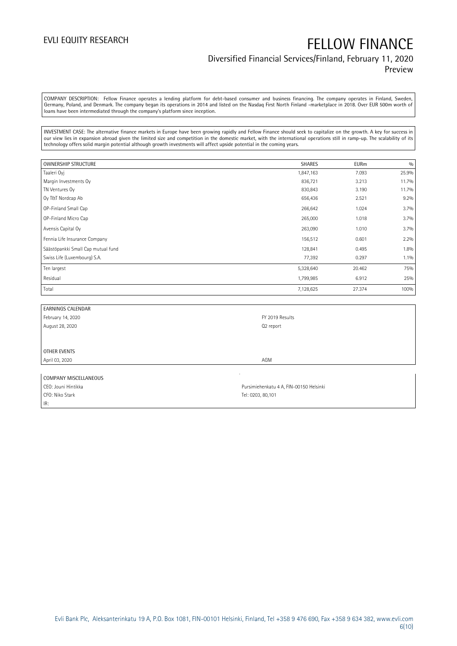## Diversified Financial Services/Finland, February 11, 2020 Preview

COMPANY DESCRIPTION: Fellow Finance operates a lending platform for debt-based consumer and business financing. The company operates in Finland, Sweden, Germany, Poland, and Denmark. The company began its operations in 2014 and listed on the Nasdaq First North Finland -marketplace in 2018. Over EUR 500m worth of loans have been intermediated through the company's platform since inception.

INVESTMENT CASE: The alternative finance markets in Europe have been growing rapidly and Fellow Finance should seek to capitalize on the growth. A key for success in our view lies in expansion abroad given the limited size and competition in the domestic market, with the international operations still in ramp-up. The scalability of its technology offers solid margin potential although growth investments will affect upside potential in the coming years.

| <b>OWNERSHIP STRUCTURE</b>         | <b>SHARES</b> | <b>EURm</b> | 0/0     |
|------------------------------------|---------------|-------------|---------|
| Taaleri Oyj                        | 1,847,163     | 7.093       | 25.9%   |
| Margin Investments Oy              | 836,721       | 3.213       | 11.7%   |
| TN Ventures Oy                     | 830,843       | 3.190       | 11.7%   |
| Oy T&T Nordcap Ab                  | 656,436       | 2.521       | 9.2%    |
| OP-Finland Small Cap               | 266,642       | 1.024       | 3.7%    |
| OP-Finland Micro Cap               | 265,000       | 1.018       | 3.7%    |
| Avensis Capital Oy                 | 263,090       | 1.010       | 3.7%    |
| Fennia Life Insurance Company      | 156,512       | 0.601       | 2.2%    |
| Säästöpankki Small Cap mutual fund | 128,841       | 0.495       | 1.8%    |
| Swiss Life (Luxembourg) S.A.       | 77,392        | 0.297       | $1.1\%$ |
| Ten largest                        | 5,328,640     | 20.462      | 75%     |
| Residual                           | 1,799,985     | 6.912       | 25%     |
| Total                              | 7,128,625     | 27.374      | 100%    |

| <b>EARNINGS CALENDAR</b> |                 |
|--------------------------|-----------------|
| February 14, 2020        | FY 2019 Results |
| August 28, 2020          | Q2 report       |
|                          |                 |
|                          |                 |
| OTHER EVENTS             |                 |
| April 03, 2020           | AGM             |
|                          |                 |

| COMPANY MISCELLANEOUS |                                         |
|-----------------------|-----------------------------------------|
| CEO: Jouni Hintikka   | Pursimiehenkatu 4 A, FIN-00150 Helsinki |
| CFO: Niko Stark       | Tel: 0203, 80.101                       |
| IR:                   |                                         |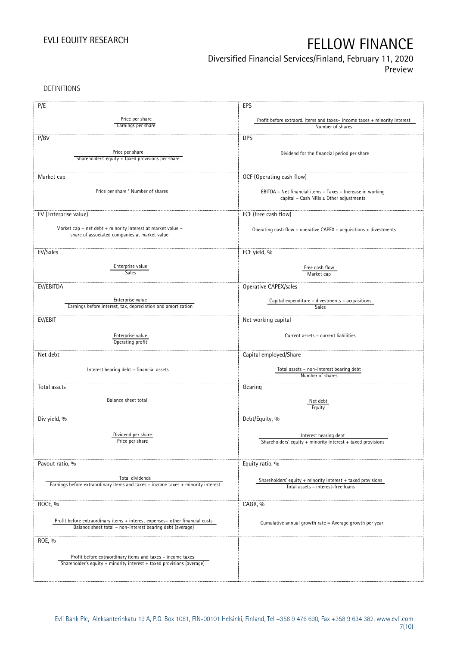Diversified Financial Services/Finland, February 11, 2020

Preview

DEFINITIONS

| P/E                                                                                                                                       | EPS                                                                                  |
|-------------------------------------------------------------------------------------------------------------------------------------------|--------------------------------------------------------------------------------------|
|                                                                                                                                           |                                                                                      |
| Price per share<br>Earnings per share                                                                                                     | Profit before extraord. items and taxes-income taxes + minority interest             |
|                                                                                                                                           | Number of shares                                                                     |
| P/BV                                                                                                                                      | <b>DPS</b>                                                                           |
|                                                                                                                                           |                                                                                      |
| Price per share                                                                                                                           | Dividend for the financial period per share                                          |
| Shareholders' equity + taxed provisions per share                                                                                         |                                                                                      |
|                                                                                                                                           |                                                                                      |
| Market cap                                                                                                                                | OCF (Operating cash flow)                                                            |
|                                                                                                                                           |                                                                                      |
| Price per share * Number of shares                                                                                                        | EBITDA - Net financial items - Taxes - Increase in working                           |
|                                                                                                                                           | capital - Cash NRIs ± Other adjustments                                              |
|                                                                                                                                           |                                                                                      |
| EV (Enterprise value)                                                                                                                     | FCF (Free cash flow)                                                                 |
|                                                                                                                                           |                                                                                      |
| Market cap + net debt + minority interest at market value $-$                                                                             | Operating cash flow - operative CAPEX - acquisitions + divestments                   |
| share of associated companies at market value                                                                                             |                                                                                      |
|                                                                                                                                           |                                                                                      |
| EV/Sales                                                                                                                                  | FCF yield, %                                                                         |
|                                                                                                                                           |                                                                                      |
| Enterprise value                                                                                                                          | Free cash flow                                                                       |
| Sales                                                                                                                                     | Market cap                                                                           |
| EV/EBITDA                                                                                                                                 | Operative CAPEX/sales                                                                |
|                                                                                                                                           |                                                                                      |
| Enterprise value                                                                                                                          | Capital expenditure – divestments – acquisitions                                     |
| Earnings before interest, tax, depreciation and amortization                                                                              | <b>Sales</b>                                                                         |
|                                                                                                                                           |                                                                                      |
| EV/EBIT                                                                                                                                   | Net working capital                                                                  |
|                                                                                                                                           |                                                                                      |
| Enterprise value<br>Operating profit                                                                                                      | Current assets - current liabilities                                                 |
|                                                                                                                                           |                                                                                      |
| Net debt                                                                                                                                  | Capital employed/Share                                                               |
|                                                                                                                                           |                                                                                      |
| Interest bearing debt - financial assets                                                                                                  | Total assets - non-interest bearing debt                                             |
|                                                                                                                                           | Number of shares                                                                     |
| Total assets                                                                                                                              | Gearing                                                                              |
|                                                                                                                                           |                                                                                      |
| Balance sheet total                                                                                                                       | Net debt                                                                             |
|                                                                                                                                           | Equity                                                                               |
| Div yield, %                                                                                                                              | Debt/Equity, %                                                                       |
|                                                                                                                                           |                                                                                      |
| Dividend per share                                                                                                                        |                                                                                      |
| Price per share                                                                                                                           | Interest bearing debt<br>Shareholders' equity + minority interest + taxed provisions |
|                                                                                                                                           |                                                                                      |
|                                                                                                                                           |                                                                                      |
| Payout ratio, %                                                                                                                           | Equity ratio, %                                                                      |
|                                                                                                                                           |                                                                                      |
| Total dividends                                                                                                                           | Shareholders' equity + minority interest + taxed provisions                          |
| Earnings before extraordinary items and taxes - income taxes + minority interest                                                          | Total assets - interest-free loans                                                   |
|                                                                                                                                           |                                                                                      |
| ROCE, %                                                                                                                                   | CAGR, %                                                                              |
|                                                                                                                                           |                                                                                      |
|                                                                                                                                           |                                                                                      |
| Profit before extraordinary items + interest expenses+ other financial costs<br>Balance sheet total - non-interest bearing debt (average) | Cumulative annual growth rate = Average growth per year                              |
|                                                                                                                                           |                                                                                      |
| ROE, %                                                                                                                                    |                                                                                      |
|                                                                                                                                           |                                                                                      |
| Profit before extraordinary items and taxes - income taxes                                                                                |                                                                                      |
| Shareholder's equity + minority interest + taxed provisions (average)                                                                     |                                                                                      |
|                                                                                                                                           |                                                                                      |
|                                                                                                                                           |                                                                                      |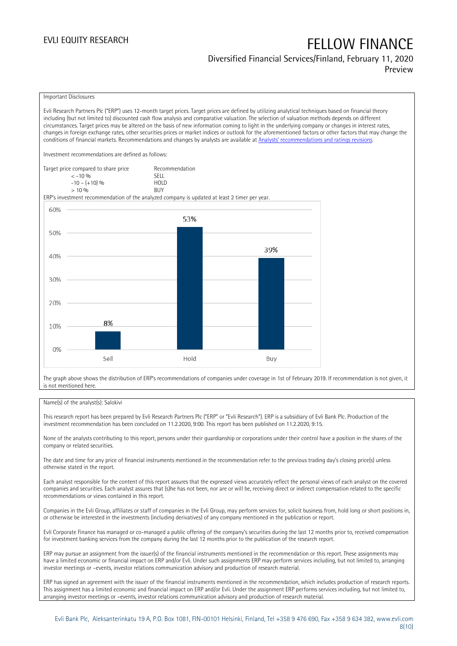## Diversified Financial Services/Finland, February 11, 2020 Preview

### Important Disclosures

Evli Research Partners Plc ("ERP") uses 12-month target prices. Target prices are defined by utilizing analytical techniques based on financial theory including (but not limited to) discounted cash flow analysis and comparative valuation. The selection of valuation methods depends on different circumstances. Target prices may be altered on the basis of new information coming to light in the underlying company or changes in interest rates, changes in foreign exchange rates, other securities prices or market indices or outlook for the aforementioned factors or other factors that may change the conditions of financial markets. Recommendations and changes by analysts are available at [Analysts' recommendations and ratings revisions](https://research.evli.com/JasperAllModels.action?authParam=key;461&authParam=x;G3rNagWrtf7K&authType=3). Investment recommendations are defined as follows: Target price compared to share price Recommendation < -10 % SELL  $-10 - (+10) \%$  HOL<br>  $> 10 \%$  $> 10\%$ ERP's investment recommendation of the analyzed company is updated at least 2 timer per year. 60% 53% 50% 39% 40% 30% 20% 8% 10%  $0%$ Hold Sell Buy

The graph above shows the distribution of ERP's recommendations of companies under coverage in 1st of February 2019. If recommendation is not given, it is not mentioned here.

### Name(s) of the analyst(s): Salokivi

This research report has been prepared by Evli Research Partners Plc ("ERP" or "Evli Research"). ERP is a subsidiary of Evli Bank Plc. Production of the investment recommendation has been concluded on 11.2.2020, 9:00. This report has been published on 11.2.2020, 9:15.

None of the analysts contributing to this report, persons under their guardianship or corporations under their control have a position in the shares of the company or related securities.

The date and time for any price of financial instruments mentioned in the recommendation refer to the previous trading day's closing price(s) unless otherwise stated in the report.

Each analyst responsible for the content of this report assures that the expressed views accurately reflect the personal views of each analyst on the covered companies and securities. Each analyst assures that (s)he has not been, nor are or will be, receiving direct or indirect compensation related to the specific recommendations or views contained in this report.

Companies in the Evli Group, affiliates or staff of companies in the Evli Group, may perform services for, solicit business from, hold long or short positions in, or otherwise be interested in the investments (including derivatives) of any company mentioned in the publication or report.

Evli Corporate Finance has managed or co-managed a public offering of the company's securities during the last 12 months prior to, received compensation for investment banking services from the company during the last 12 months prior to the publication of the research report.

ERP may pursue an assignment from the issuer(s) of the financial instruments mentioned in the recommendation or this report. These assignments may have a limited economic or financial impact on ERP and/or Evli. Under such assignments ERP may perform services including, but not limited to, arranging investor meetings or –events, investor relations communication advisory and production of research material.

ERP has signed an agreement with the issuer of the financial instruments mentioned in the recommendation, which includes production of research reports. This assignment has a limited economic and financial impact on ERP and/or Evli. Under the assignment ERP performs services including, but not limited to, arranging investor meetings or –events, investor relations communication advisory and production of research material.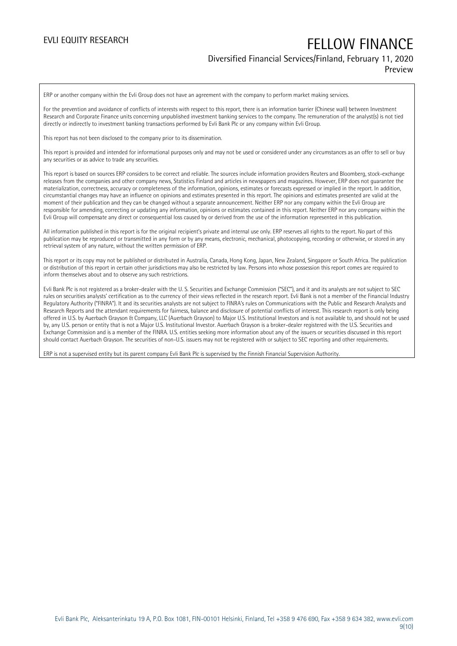## Diversified Financial Services/Finland, February 11, 2020 Preview

ERP or another company within the Evli Group does not have an agreement with the company to perform market making services.

For the prevention and avoidance of conflicts of interests with respect to this report, there is an information barrier (Chinese wall) between Investment Research and Corporate Finance units concerning unpublished investment banking services to the company. The remuneration of the analyst(s) is not tied directly or indirectly to investment banking transactions performed by Evli Bank Plc or any company within Evli Group.

This report has not been disclosed to the company prior to its dissemination.

This report is provided and intended for informational purposes only and may not be used or considered under any circumstances as an offer to sell or buy any securities or as advice to trade any securities.

This report is based on sources ERP considers to be correct and reliable. The sources include information providers Reuters and Bloomberg, stock-exchange releases from the companies and other company news, Statistics Finland and articles in newspapers and magazines. However, ERP does not guarantee the materialization, correctness, accuracy or completeness of the information, opinions, estimates or forecasts expressed or implied in the report. In addition, circumstantial changes may have an influence on opinions and estimates presented in this report. The opinions and estimates presented are valid at the moment of their publication and they can be changed without a separate announcement. Neither ERP nor any company within the Evli Group are responsible for amending, correcting or updating any information, opinions or estimates contained in this report. Neither ERP nor any company within the Evli Group will compensate any direct or consequential loss caused by or derived from the use of the information represented in this publication.

All information published in this report is for the original recipient's private and internal use only. ERP reserves all rights to the report. No part of this publication may be reproduced or transmitted in any form or by any means, electronic, mechanical, photocopying, recording or otherwise, or stored in any retrieval system of any nature, without the written permission of ERP.

This report or its copy may not be published or distributed in Australia, Canada, Hong Kong, Japan, New Zealand, Singapore or South Africa. The publication or distribution of this report in certain other jurisdictions may also be restricted by law. Persons into whose possession this report comes are required to inform themselves about and to observe any such restrictions.

Evli Bank Plc is not registered as a broker-dealer with the U. S. Securities and Exchange Commission ("SEC"), and it and its analysts are not subject to SEC rules on securities analysts' certification as to the currency of their views reflected in the research report. Evli Bank is not a member of the Financial Industry Regulatory Authority ("FINRA"). It and its securities analysts are not subject to FINRA's rules on Communications with the Public and Research Analysts and Research Reports and the attendant requirements for fairness, balance and disclosure of potential conflicts of interest. This research report is only being offered in U.S. by Auerbach Grayson & Company, LLC (Auerbach Grayson) to Major U.S. Institutional Investors and is not available to, and should not be used by, any U.S. person or entity that is not a Major U.S. Institutional Investor. Auerbach Grayson is a broker-dealer registered with the U.S. Securities and Exchange Commission and is a member of the FINRA. U.S. entities seeking more information about any of the issuers or securities discussed in this report should contact Auerbach Grayson. The securities of non-U.S. issuers may not be registered with or subject to SEC reporting and other requirements.

ERP is not a supervised entity but its parent company Evli Bank Plc is supervised by the Finnish Financial Supervision Authority.